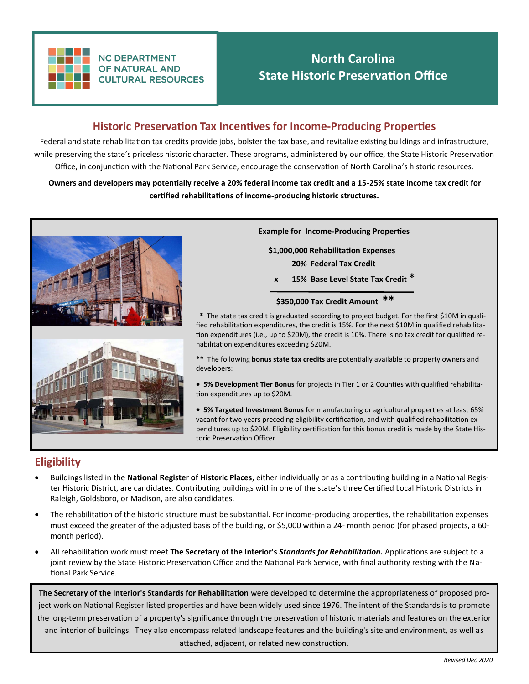

**NC DEPARTMENT OF NATURAL AND CULTURAL RESOURCES** 

# **North Carolina State Historic Preservation Office**

### **Historic Preservation Tax Incentives for Income-Producing Properties**

Federal and state rehabilitation tax credits provide jobs, bolster the tax base, and revitalize existing buildings and infrastructure, while preserving the state's priceless historic character. These programs, administered by our office, the State Historic Preservation Office, in conjunction with the National Park Service, encourage the conservation of North Carolina's historic resources.

**Owners and developers may potentially receive a 20% federal income tax credit and a 15-25% state income tax credit for certified rehabilitations of income-producing historic structures.**



**Example for Income-Producing Properties**

 **\$1,000,000 Rehabilitation Expenses 20% Federal Tax Credit**

 **x 15% Base Level State Tax Credit \*** 

#### **\$350,000 Tax Credit Amount \*\***

 **\*** The state tax credit is graduated according to project budget. For the first \$10M in qualified rehabilitation expenditures, the credit is 15%. For the next \$10M in qualified rehabilitation expenditures (i.e., up to \$20M), the credit is 10%. There is no tax credit for qualified rehabilitation expenditures exceeding \$20M.

**\*\*** The following **bonus state tax credits** are potentially available to property owners and developers:

- **5% Development Tier Bonus** for projects in Tier 1 or 2 Counties with qualified rehabilitation expenditures up to \$20M.
- **5% Targeted Investment Bonus** for manufacturing or agricultural properties at least 65% vacant for two years preceding eligibility certification, and with qualified rehabilitation expenditures up to \$20M. Eligibility certification for this bonus credit is made by the State Historic Preservation Officer.

### **Eligibility**

- Buildings listed in the **National Register of Historic Places**, either individually or as a contributing building in a National Register Historic District, are candidates. Contributing buildings within one of the state's three Certified Local Historic Districts in Raleigh, Goldsboro, or Madison, are also candidates.
- The rehabilitation of the historic structure must be substantial. For income-producing properties, the rehabilitation expenses must exceed the greater of the adjusted basis of the building, or \$5,000 within a 24- month period (for phased projects, a 60 month period).
- All rehabilitation work must meet **The Secretary of the Interior's** *Standards for Rehabilitation.* Applications are subject to a joint review by the State Historic Preservation Office and the National Park Service, with final authority resting with the National Park Service.

**The Secretary of the Interior's Standards for Rehabilitation** were developed to determine the appropriateness of proposed project work on National Register listed properties and have been widely used since 1976. The intent of the Standards is to promote the long-term preservation of a property's significance through the preservation of historic materials and features on the exterior and interior of buildings. They also encompass related landscape features and the building's site and environment, as well as attached, adjacent, or related new construction.